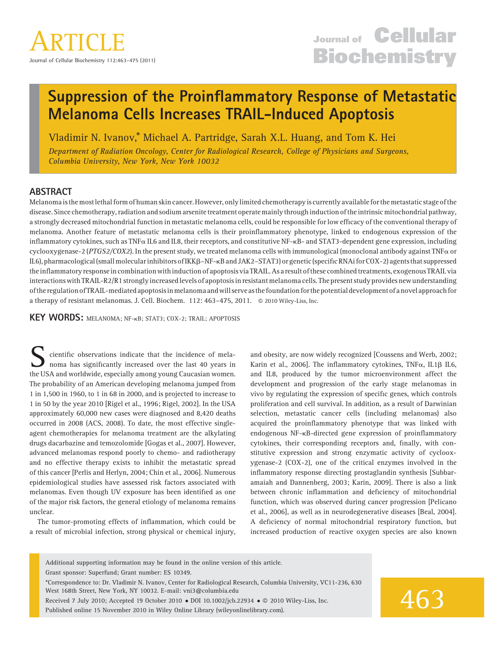# Suppression of the Proinflammatory Response of Metastatic Melanoma Cells Increases TRAIL-Induced Apoptosis

Vladimir N. Ivanov,\* Michael A. Partridge, Sarah X.L. Huang, and Tom K. Hei

Department of Radiation Oncology, Center for Radiological Research, College of Physicians and Surgeons, Columbia University, New York, New York 10032

# ABSTRACT

Melanomais themostlethal form of human skin cancer.However, onlylimited chemotherapyis currently available for the metastatic stage of the disease. Since chemotherapy, radiation and sodium arsenite treatment operate mainly through induction of the intrinsic mitochondrial pathway, a strongly decreased mitochondrial function in metastatic melanoma cells, could be responsible for low efficacy of the conventional therapy of melanoma. Another feature of metastatic melanoma cells is their proinflammatory phenotype, linked to endogenous expression of the inflammatory cytokines, such as TNF $\alpha$  IL6 and IL8, their receptors, and constitutive NF- $\kappa$ B- and STAT3-dependent gene expression, including cyclooxygenase-2 (PTGS2/COX2). In the present study, we treated melanoma cells with immunological (monoclonal antibody against TNF $\alpha$  or IL6), pharmacological(smallmolecularinhibitors of IKKb–NF-kB and JAK2–STAT3) or genetic(specific RNAi for COX-2) agents that suppressed theinflammatory responsein combination withinduction of apoptosis via TRAIL.As a result of these combined treatments, exogenous TRAIL via interactions with TRAIL-R2/R1 stronglyincreasedlevels of apoptosisin resistant melanoma cells. The present study provides new understanding of the regulation of TRAIL-mediatedapoptosisinmelanomaandwill serveas the foundation for the potential development ofanovelapproach for a therapy of resistant melanomas. J. Cell. Biochem.  $112: 463-475, 2011.$   $\odot$  2010 Wiley-Liss, Inc.

KEY WORDS: MELANOMA; NF-kB; STAT3; COX-2; TRAIL; APOPTOSIS

cientific observations indicate that the incidence of melanoma has significantly increased over the last 40 years in the USA and worldwide, especially among young Caucasian women. The probability of an American developing melanoma jumped from 1 in 1,500 in 1960, to 1 in 68 in 2000, and is projected to increase to 1 in 50 by the year 2010 [Rigel et al., 1996; Rigel, 2002]. In the USA approximately 60,000 new cases were diagnosed and 8,420 deaths occurred in 2008 (ACS, 2008). To date, the most effective singleagent chemotherapies for melanoma treatment are the alkylating drugs dacarbazine and temozolomide [Gogas et al., 2007]. However, advanced melanomas respond poorly to chemo- and radiotherapy and no effective therapy exists to inhibit the metastatic spread of this cancer [Perlis and Herlyn, 2004; Chin et al., 2006]. Numerous epidemiological studies have assessed risk factors associated with melanomas. Even though UV exposure has been identified as one of the major risk factors, the general etiology of melanoma remains unclear.

The tumor-promoting effects of inflammation, which could be a result of microbial infection, strong physical or chemical injury,

and obesity, are now widely recognized [Coussens and Werb, 2002; Karin et al., 2006]. The inflammatory cytokines, TNF $\alpha$ , IL1 $\beta$  IL6, and IL8, produced by the tumor microenvironment affect the development and progression of the early stage melanomas in vivo by regulating the expression of specific genes, which controls proliferation and cell survival. In addition, as a result of Darwinian selection, metastatic cancer cells (including melanomas) also acquired the proinflammatory phenotype that was linked with endogenous NF-kB-directed gene expression of proinflammatory cytokines, their corresponding receptors and, finally, with constitutive expression and strong enzymatic activity of cyclooxygenase-2 (COX-2), one of the critical enzymes involved in the inflammatory response directing prostaglandin synthesis [Subbaramaiah and Dannenberg, 2003; Karin, 2009]. There is also a link between chronic inflammation and deficiency of mitochondrial function, which was observed during cancer progression [Pelicano et al., 2006], as well as in neurodegenerative diseases [Beal, 2004]. A deficiency of normal mitochondrial respiratory function, but increased production of reactive oxygen species are also known

Additional supporting information may be found in the online version of this article. Grant sponsor: Superfund; Grant number: ES 10349.

\*Correspondence to: Dr. Vladimir N. Ivanov, Center for Radiological Research, Columbia University, VC11-236, 630 West 168th Street, New York, NY 10032. E-mail: vni3@columbia.edu

Received 7 July 2010; Accepted 19 October 2010 . DOI 10.1002/jcb.22934 . 2010 Wiley-Liss, Inc.

Published online 15 November 2010 in Wiley Online Library (wileyonlinelibrary.com).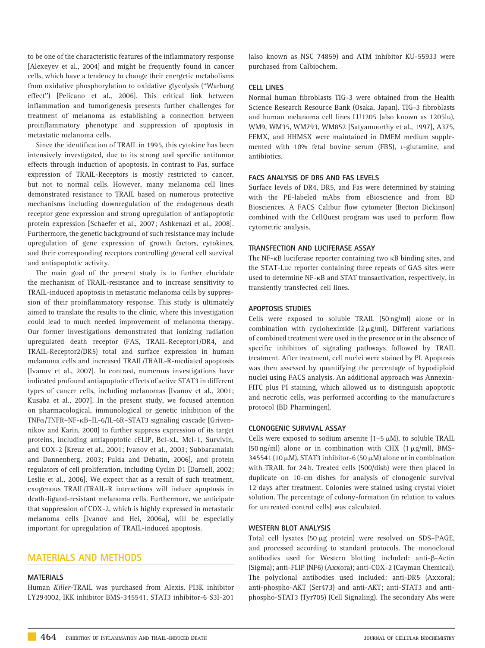to be one of the characteristic features of the inflammatory response [Alexeyev et al., 2004] and might be frequently found in cancer cells, which have a tendency to change their energetic metabolisms from oxidative phosphorylation to oxidative glycolysis (''Warburg effect'') [Pelicano et al., 2006]. This critical link between inflammation and tumorigenesis presents further challenges for treatment of melanoma as establishing a connection between proinflammatory phenotype and suppression of apoptosis in metastatic melanoma cells.

Since the identification of TRAIL in 1995, this cytokine has been intensively investigated, due to its strong and specific antitumor effects through induction of apoptosis. In contrast to Fas, surface expression of TRAIL-Receptors is mostly restricted to cancer, but not to normal cells. However, many melanoma cell lines demonstrated resistance to TRAIL based on numerous protective mechanisms including downregulation of the endogenous death receptor gene expression and strong upregulation of antiapoptotic protein expression [Schaefer et al., 2007; Ashkenazi et al., 2008]. Furthermore, the genetic background of such resistance may include upregulation of gene expression of growth factors, cytokines, and their corresponding receptors controlling general cell survival and antiapoptotic activity.

The main goal of the present study is to further elucidate the mechanism of TRAIL-resistance and to increase sensitivity to TRAIL-induced apoptosis in metastatic melanoma cells by suppression of their proinflammatory response. This study is ultimately aimed to translate the results to the clinic, where this investigation could lead to much needed improvement of melanoma therapy. Our former investigations demonstrated that ionizing radiation upregulated death receptor (FAS, TRAIL-Receptor1/DR4, and TRAIL-Receptor2/DR5) total and surface expression in human melanoma cells and increased TRAIL/TRAIL-R-mediated apoptosis [Ivanov et al., 2007]. In contrast, numerous investigations have indicated profound antiapoptotic effects of active STAT3 in different types of cancer cells, including melanomas [Ivanov et al., 2001; Kusaba et al., 2007]. In the present study, we focused attention on pharmacological, immunological or genetic inhibition of the TNFa/TNFR–NF-kB–IL-6/IL-6R–STAT3 signaling cascade [Grivennikov and Karin, 2008] to further suppress expression of its target proteins, including antiapoptotic cFLIP, Bcl-xL, Mcl-1, Survivin, and COX-2 [Kreuz et al., 2001; Ivanov et al., 2003; Subbaramaiah and Dannenberg, 2003; Fulda and Debatin, 2006], and protein regulators of cell proliferation, including Cyclin D1 [Darnell, 2002; Leslie et al., 2006]. We expect that as a result of such treatment, exogenous TRAIL/TRAIL-R interactions will induce apoptosis in death-ligand-resistant melanoma cells. Furthermore, we anticipate that suppression of COX-2, which is highly expressed in metastatic melanoma cells [Ivanov and Hei, 2006a], will be especially important for upregulation of TRAIL-induced apoptosis.

# MATERIALS AND METHODS

## MATERIALS

Human Killer-TRAIL was purchased from Alexis. PI3K inhibitor LY294002, IKK inhibitor BMS-345541, STAT3 inhibitor-6 S3I-201

(also known as NSC 74859) and ATM inhibitor KU-55933 were purchased from Calbiochem.

## CELL LINES

Normal human fibroblasts TIG-3 were obtained from the Health Science Research Resource Bank (Osaka, Japan). TIG-3 fibroblasts and human melanoma cell lines LU1205 (also known as 1205lu), WM9, WM35, WM793, WM852 [Satyamoorthy et al., 1997], A375, FEMX, and HHMSX were maintained in DMEM medium supplemented with 10% fetal bovine serum (FBS), L-glutamine, and antibiotics.

## FACS ANALYSIS OF DR5 AND FAS LEVELS

Surface levels of DR4, DR5, and Fas were determined by staining with the PE-labeled mAbs from eBioscience and from BD Biosciences. A FACS Calibur flow cytometer (Becton Dickinson) combined with the CellQuest program was used to perform flow cytometric analysis.

## TRANSFECTION AND LUCIFERASE ASSAY

The NF-<sub>KB</sub> luciferase reporter containing two <sub>KB</sub> binding sites, and the STAT-Luc reporter containing three repeats of GAS sites were used to determine NF-kB and STAT transactivation, respectively, in transiently transfected cell lines.

## APOPTOSIS STUDIES

Cells were exposed to soluble TRAIL (50 ng/ml) alone or in combination with cycloheximide  $(2 \mu g/ml)$ . Different variations of combined treatment were used in the presence or in the absence of specific inhibitors of signaling pathways followed by TRAIL treatment. After treatment, cell nuclei were stained by PI. Apoptosis was then assessed by quantifying the percentage of hypodiploid nuclei using FACS analysis. An additional approach was Annexin-FITC plus PI staining, which allowed us to distinguish apoptotic and necrotic cells, was performed according to the manufacture's protocol (BD Pharmingen).

# CLONOGENIC SURVIVAL ASSAY

Cells were exposed to sodium arsenite  $(1-5 \mu M)$ , to soluble TRAIL (50 ng/ml) alone or in combination with CHX (1  $\mu$ g/ml), BMS-345541 (10  $\mu$ M), STAT3 inhibitor-6 (50  $\mu$ M) alone or in combination with TRAIL for 24 h. Treated cells (500/dish) were then placed in duplicate on 10-cm dishes for analysis of clonogenic survival 12 days after treatment. Colonies were stained using crystal violet solution. The percentage of colony-formation (in relation to values for untreated control cells) was calculated.

# WESTERN BLOT ANALYSIS

Total cell lysates (50  $\mu$ g protein) were resolved on SDS-PAGE, and processed according to standard protocols. The monoclonal antibodies used for Western blotting included: anti- $\beta$ -Actin (Sigma); anti-FLIP (NF6) (Axxora); anti-COX-2 (Cayman Chemical). The polyclonal antibodies used included: anti-DR5 (Axxora); anti-phospho-AKT (Ser473) and anti-AKT; anti-STAT3 and antiphospho-STAT3 (Tyr705) (Cell Signaling). The secondary Abs were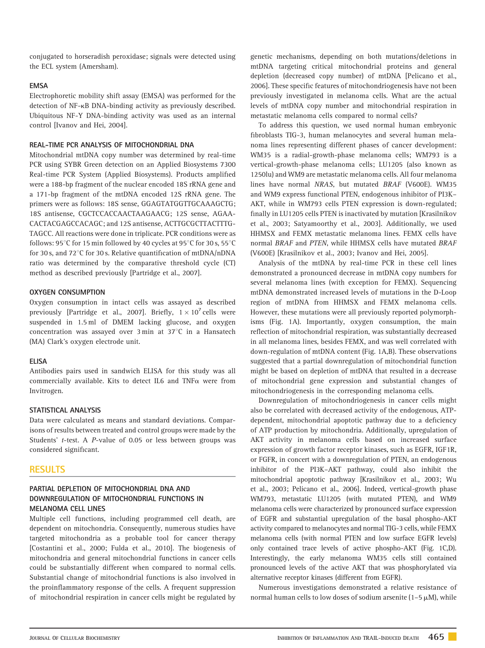conjugated to horseradish peroxidase; signals were detected using the ECL system (Amersham).

## **FMSA**

Electrophoretic mobility shift assay (EMSA) was performed for the detection of NF-kB DNA-binding activity as previously described. Ubiquitous NF-Y DNA-binding activity was used as an internal control [Ivanov and Hei, 2004].

## REAL-TIME PCR ANALYSIS OF MITOCHONDRIAL DNA

Mitochondrial mtDNA copy number was determined by real-time PCR using SYBR Green detection on an Applied Biosystems 7300 Real-time PCR System (Applied Biosystems). Products amplified were a 188-bp fragment of the nuclear encoded 18S rRNA gene and a 171-bp fragment of the mtDNA encoded 12S rRNA gene. The primers were as follows: 18S sense, GGAGTATGGTTGCAAAGCTG; 18S antisense, CGCTCCACCAACTAAGAACG; 12S sense, AGAA-CACTACGAGCCACAGC; and 12S antisense, ACTTGCGCTTACTTTG-TAGCC. All reactions were done in triplicate. PCR conditions were as follows: 95 $\degree$ C for 15 min followed by 40 cycles at 95 $\degree$ C for 30 s, 55 $\degree$ C for 30 s, and 72 $^{\circ}$ C for 30 s. Relative quantification of mtDNA/nDNA ratio was determined by the comparative threshold cycle (CT) method as described previously [Partridge et al., 2007].

## OXYGEN CONSUMPTION

Oxygen consumption in intact cells was assayed as described previously [Partridge et al., 2007]. Briefly,  $1 \times 10^7$  cells were suspended in 1.5 ml of DMEM lacking glucose, and oxygen concentration was assayed over  $3 \text{ min}$  at  $37^{\circ}$ C in a Hansatech (MA) Clark's oxygen electrode unit.

#### ELISA

Antibodies pairs used in sandwich ELISA for this study was all commercially available. Kits to detect IL6 and TNF $\alpha$  were from Invitrogen.

# STATISTICAL ANALYSIS

Data were calculated as means and standard deviations. Comparisons of results between treated and control groups were made by the Students' t-test. A P-value of 0.05 or less between groups was considered significant.

# **RESULTS**

# PARTIAL DEPLETION OF MITOCHONDRIAL DNA AND DOWNREGULATION OF MITOCHONDRIAL FUNCTIONS IN MELANOMA CELL LINES

Multiple cell functions, including programmed cell death, are dependent on mitochondria. Consequently, numerous studies have targeted mitochondria as a probable tool for cancer therapy [Costantini et al., 2000; Fulda et al., 2010]. The biogenesis of mitochondria and general mitochondrial functions in cancer cells could be substantially different when compared to normal cells. Substantial change of mitochondrial functions is also involved in the proinflammatory response of the cells. A frequent suppression of mitochondrial respiration in cancer cells might be regulated by

genetic mechanisms, depending on both mutations/deletions in mtDNA targeting critical mitochondrial proteins and general depletion (decreased copy number) of mtDNA [Pelicano et al., 2006]. These specific features of mitochondriogenesis have not been previously investigated in melanoma cells. What are the actual levels of mtDNA copy number and mitochondrial respiration in metastatic melanoma cells compared to normal cells?

To address this question, we used normal human embryonic fibroblasts TIG-3, human melanocytes and several human melanoma lines representing different phases of cancer development: WM35 is a radial-growth-phase melanoma cells; WM793 is a vertical-growth-phase melanoma cells; LU1205 (also known as 1250lu) and WM9 are metastatic melanoma cells. All four melanoma lines have normal NRAS, but mutated BRAF (V600E). WM35 and WM9 express functional PTEN, endogenous inhibitor of PI3K– AKT, while in WM793 cells PTEN expression is down-regulated; finally in LU1205 cells PTEN is inactivated by mutation [Krasilnikov et al., 2003; Satyamoorthy et al., 2003]. Additionally, we used HHMSX and FEMX metastatic melanoma lines. FEMX cells have normal BRAF and PTEN, while HHMSX cells have mutated BRAF (V600E) [Krasilnikov et al., 2003; Ivanov and Hei, 2005].

Analysis of the mtDNA by real-time PCR in these cell lines demonstrated a pronounced decrease in mtDNA copy numbers for several melanoma lines (with exception for FEMX). Sequencing mtDNA demonstrated increased levels of mutations in the D-Loop region of mtDNA from HHMSX and FEMX melanoma cells. However, these mutations were all previously reported polymorphisms (Fig. 1A). Importantly, oxygen consumption, the main reflection of mitochondrial respiration, was substantially decreased in all melanoma lines, besides FEMX, and was well correlated with down-regulation of mtDNA content (Fig. 1A,B). These observations suggested that a partial downregulation of mitochondrial function might be based on depletion of mtDNA that resulted in a decrease of mitochondrial gene expression and substantial changes of mitochondriogenesis in the corresponding melanoma cells.

Downregulation of mitochondriogenesis in cancer cells might also be correlated with decreased activity of the endogenous, ATPdependent, mitochondrial apoptotic pathway due to a deficiency of ATP production by mitochondria. Additionally, upregulation of AKT activity in melanoma cells based on increased surface expression of growth factor receptor kinases, such as EGFR, IGF1R, or FGFR, in concert with a downregulation of PTEN, an endogenous inhibitor of the PI3K–AKT pathway, could also inhibit the mitochondrial apoptotic pathway [Krasilnikov et al., 2003; Wu et al., 2003; Pelicano et al., 2006]. Indeed, vertical-growth phase WM793, metastatic LU1205 (with mutated PTEN), and WM9 melanoma cells were characterized by pronounced surface expression of EGFR and substantial upregulation of the basal phospho-AKT activity compared to melanocytes and normal TIG-3 cells, while FEMX melanoma cells (with normal PTEN and low surface EGFR levels) only contained trace levels of active phospho-AKT (Fig. 1C,D). Interestingly, the early melanoma WM35 cells still contained pronounced levels of the active AKT that was phosphorylated via alternative receptor kinases (different from EGFR).

Numerous investigations demonstrated a relative resistance of normal human cells to low doses of sodium arsenite (1-5  $\mu$ M), while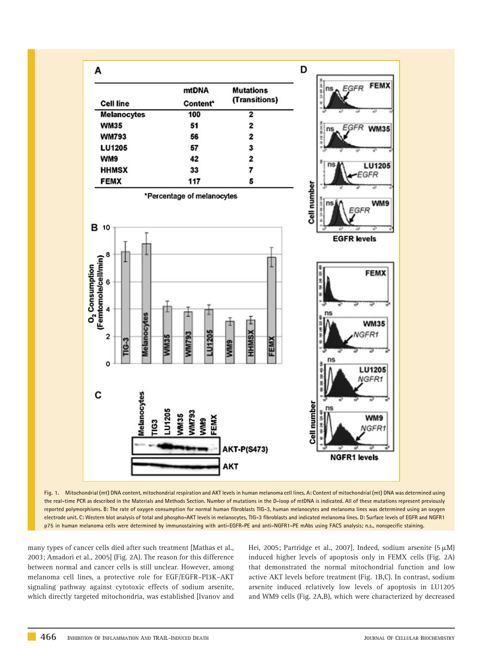

Fig. 1. Mitochondrial (mt) DNA content, mitochondrial respiration and AKT levels in human melanoma cell lines. A: Content of mitochondrial (mt) DNA was determined using the real-time PCR as described in the Materials and Methods Section. Number of mutations in the D-loop of mtDNA is indicated. All of these mutations represent previously reported polymorphisms. B: The rate of oxygen consumption for normal human fibroblasts TIG-3, human melanocytes and melanoma lines was determined using an oxygen electrode unit. C: Western blot analysis of total and phospho-AKT levels in melanocytes, TIG-3 fibroblasts and indicated melanoma lines. D: Surface levels of EGFR and NGFR1 p75 in human melanoma cells were determined by immunostaining with anti-EGFR-PE and anti-NGFR1-PE mAbs using FACS analysis; n.s., nonspecific staining.

many types of cancer cells died after such treatment [Mathas et al., 2003; Amadori et al., 2005] (Fig. 2A). The reason for this difference between normal and cancer cells is still unclear. However, among melanoma cell lines, a protective role for EGF/EGFR–PI3K–AKT signaling pathway against cytotoxic effects of sodium arsenite, which directly targeted mitochondria, was established [Ivanov and Hei, 2005; Partridge et al., 2007]. Indeed, sodium arsenite  $(5 \mu M)$ induced higher levels of apoptosis only in FEMX cells (Fig. 2A) that demonstrated the normal mitochondrial function and low active AKT levels before treatment (Fig. 1B,C). In contrast, sodium arsenite induced relatively low levels of apoptosis in LU1205 and WM9 cells (Fig. 2A,B), which were characterized by decreased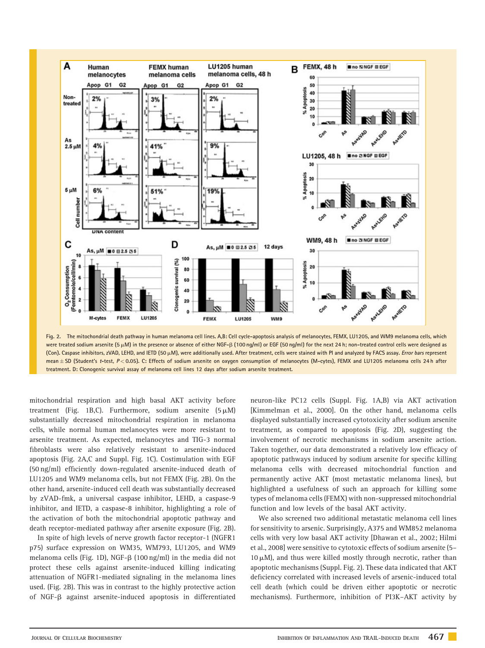

Fig. 2. The mitochondrial death pathway in human melanoma cell lines. A,B: Cell cycle-apoptosis analysis of melanocytes, FEMX, LU1205, and WM9 melanoma cells, which were treated sodium arsenite (5  $\mu$ M) in the presence or absence of either NGF- $\beta$  (100 ng/ml) or EGF (50 ng/ml) for the next 24 h; non-treated control cells were designed as (Con). Caspase inhibitors, zVAD, LEHD, and IETD (50 µM), were additionally used. After treatment, cells were stained with PI and analyzed by FACS assay. Error bars represent mean ± SD (Student's t-test, P < 0.05). C: Effects of sodium arsenite on oxygen consumption of melanocytes (M-cytes), FEMX and LU1205 melanoma cells 24 h after treatment. D: Clonogenic survival assay of melanoma cell lines 12 days after sodium arsenite treatment.

mitochondrial respiration and high basal AKT activity before treatment (Fig. 1B,C). Furthermore, sodium arsenite  $(5 \mu M)$ substantially decreased mitochondrial respiration in melanoma cells, while normal human melanocytes were more resistant to arsenite treatment. As expected, melanocytes and TIG-3 normal fibroblasts were also relatively resistant to arsenite-induced apoptosis (Fig. 2A,C and Suppl. Fig. 1C). Costimulation with EGF (50 ng/ml) efficiently down-regulated arsenite-induced death of LU1205 and WM9 melanoma cells, but not FEMX (Fig. 2B). On the other hand, arsenite-induced cell death was substantially decreased by zVAD-fmk, a universal caspase inhibitor, LEHD, a caspase-9 inhibitor, and IETD, a caspase-8 inhibitor, highlighting a role of the activation of both the mitochondrial apoptotic pathway and death receptor-mediated pathway after arsenite exposure (Fig. 2B).

In spite of high levels of nerve growth factor receptor-1 (NGFR1 p75) surface expression on WM35, WM793, LU1205, and WM9 melanoma cells (Fig. 1D), NGF-ß (100 ng/ml) in the media did not protect these cells against arsenite-induced killing indicating attenuation of NGFR1-mediated signaling in the melanoma lines used. (Fig. 2B). This was in contrast to the highly protective action of NGF-b against arsenite-induced apoptosis in differentiated neuron-like PC12 cells (Suppl. Fig. 1A,B) via AKT activation [Kimmelman et al., 2000]. On the other hand, melanoma cells displayed substantially increased cytotoxicity after sodium arsenite treatment, as compared to apoptosis (Fig. 2D), suggesting the involvement of necrotic mechanisms in sodium arsenite action. Taken together, our data demonstrated a relatively low efficacy of apoptotic pathways induced by sodium arsenite for specific killing melanoma cells with decreased mitochondrial function and permanently active AKT (most metastatic melanoma lines), but highlighted a usefulness of such an approach for killing some types of melanoma cells (FEMX) with non-suppressed mitochondrial function and low levels of the basal AKT activity.

We also screened two additional metastatic melanoma cell lines for sensitivity to arsenic. Surprisingly, A375 and WM852 melanoma cells with very low basal AKT activity [Dhawan et al., 2002; Hilmi et al., 2008] were sensitive to cytotoxic effects of sodium arsenite (5–  $10 \mu$ M), and thus were killed mostly through necrotic, rather than apoptotic mechanisms (Suppl. Fig. 2). These data indicated that AKT deficiency correlated with increased levels of arsenic-induced total cell death (which could be driven either apoptotic or necrotic mechanisms). Furthermore, inhibition of PI3K–AKT activity by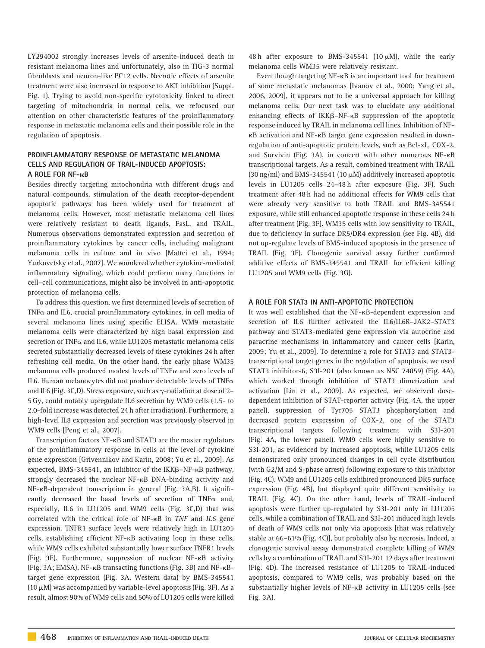LY294002 strongly increases levels of arsenite-induced death in resistant melanoma lines and unfortunately, also in TIG-3 normal fibroblasts and neuron-like PC12 cells. Necrotic effects of arsenite treatment were also increased in response to AKT inhibition (Suppl. Fig. 1). Trying to avoid non-specific cytotoxicity linked to direct targeting of mitochondria in normal cells, we refocused our attention on other characteristic features of the proinflammatory response in metastatic melanoma cells and their possible role in the regulation of apoptosis.

# PROINFLAMMATORY RESPONSE OF METASTATIC MELANOMA CELLS AND REGULATION OF TRAIL-INDUCED APOPTOSIS: A ROLE FOR NF-kB

Besides directly targeting mitochondria with different drugs and natural compounds, stimulation of the death receptor-dependent apoptotic pathways has been widely used for treatment of melanoma cells. However, most metastatic melanoma cell lines were relatively resistant to death ligands, FasL, and TRAIL. Numerous observations demonstrated expression and secretion of proinflammatory cytokines by cancer cells, including malignant melanoma cells in culture and in vivo [Mattei et al., 1994; Yurkovetsky et al., 2007]. We wondered whether cytokine-mediated inflammatory signaling, which could perform many functions in cell–cell communications, might also be involved in anti-apoptotic protection of melanoma cells.

To address this question, we first determined levels of secretion of TNF $\alpha$  and IL6, crucial proinflammatory cytokines, in cell media of several melanoma lines using specific ELISA. WM9 metastatic melanoma cells were characterized by high basal expression and secretion of TNF $\alpha$  and IL6, while LU1205 metastatic melanoma cells secreted substantially decreased levels of these cytokines 24 h after refreshing cell media. On the other hand, the early phase WM35 melanoma cells produced modest levels of TNF $\alpha$  and zero levels of IL6. Human melanocytes did not produce detectable levels of  $\text{TNF}\alpha$ and IL6 (Fig. 3C,D). Stress exposure, such as  $\gamma$ -radiation at dose of 2– 5 Gy, could notably upregulate IL6 secretion by WM9 cells (1.5- to 2.0-fold increase was detected 24 h after irradiation). Furthermore, a high-level IL8 expression and secretion was previously observed in WM9 cells [Peng et al., 2007].

Transcription factors NF-kB and STAT3 are the master regulators of the proinflammatory response in cells at the level of cytokine gene expression [Grivennikov and Karin, 2008; Yu et al., 2009]. As expected, BMS-345541, an inhibitor of the  $IKK\beta-NF-KB$  pathway, strongly decreased the nuclear NF-kB DNA-binding activity and NF-kB-dependent transcription in general (Fig. 3A,B). It significantly decreased the basal levels of secretion of TNF $\alpha$  and, especially, IL6 in LU1205 and WM9 cells (Fig. 3C,D) that was correlated with the critical role of NF-kB in TNF and IL6 gene expression. TNFR1 surface levels were relatively high in LU1205 cells, establishing efficient NF-kB activating loop in these cells, while WM9 cells exhibited substantially lower surface TNFR1 levels (Fig. 3E). Furthermore, suppression of nuclear NF-kB activity (Fig. 3A; EMSA), NF-kB transacting functions (Fig. 3B) and NF-kBtarget gene expression (Fig. 3A, Western data) by BMS-345541 (10  $\mu$ M) was accompanied by variable-level apoptosis (Fig. 3F). As a result, almost 90% of WM9 cells and 50% of LU1205 cells were killed

48 h after exposure to BMS-345541 (10  $\mu$ M), while the early melanoma cells WM35 were relatively resistant.

Even though targeting NF-kB is an important tool for treatment of some metastatic melanomas [Ivanov et al., 2000; Yang et al., 2006, 2009], it appears not to be a universal approach for killing melanoma cells. Our next task was to elucidate any additional enhancing effects of  $IKK\beta-NF-\kappa B$  suppression of the apoptotic response induced by TRAIL in melanoma cell lines. Inhibition of NFkB activation and NF-kB target gene expression resulted in downregulation of anti-apoptotic protein levels, such as Bcl-xL, COX-2, and Survivin (Fig. 3A), in concert with other numerous NF-k<sup>B</sup> transcriptional targets. As a result, combined treatment with TRAIL (30 ng/ml) and BMS-345541 (10  $\mu$ M) additively increased apoptotic levels in LU1205 cells 24–48 h after exposure (Fig. 3F). Such treatment after 48 h had no additional effects for WM9 cells that were already very sensitive to both TRAIL and BMS-345541 exposure, while still enhanced apoptotic response in these cells 24 h after treatment (Fig. 3F). WM35 cells with low sensitivity to TRAIL, due to deficiency in surface DR5/DR4 expression (see Fig. 4B), did not up-regulate levels of BMS-induced apoptosis in the presence of TRAIL (Fig. 3F). Clonogenic survival assay further confirmed additive effects of BMS-345541 and TRAIL for efficient killing LU1205 and WM9 cells (Fig. 3G).

## A ROLE FOR STAT3 IN ANTI-APOPTOTIC PROTECTION

It was well established that the NF-kB-dependent expression and secretion of IL6 further activated the IL6/IL6R–JAK2–STAT3 pathway and STAT3-mediated gene expression via autocrine and paracrine mechanisms in inflammatory and cancer cells [Karin, 2009; Yu et al., 2009]. To determine a role for STAT3 and STAT3 transcriptional target genes in the regulation of apoptosis, we used STAT3 inhibitor-6, S3I-201 (also known as NSC 74859) (Fig. 4A), which worked through inhibition of STAT3 dimerization and activation [Lin et al., 2009]. As expected, we observed dosedependent inhibition of STAT-reporter activity (Fig. 4A, the upper panel), suppression of Tyr705 STAT3 phosphorylation and decreased protein expression of COX-2, one of the STAT3 transcriptional targets following treatment with S3I-201 (Fig. 4A, the lower panel). WM9 cells were highly sensitive to S3I-201, as evidenced by increased apoptosis, while LU1205 cells demonstrated only pronounced changes in cell cycle distribution (with G2/M and S-phase arrest) following exposure to this inhibitor (Fig. 4C). WM9 and LU1205 cells exhibited pronounced DR5 surface expression (Fig. 4B), but displayed quite different sensitivity to TRAIL (Fig. 4C). On the other hand, levels of TRAIL-induced apoptosis were further up-regulated by S3I-201 only in LU1205 cells, while a combination of TRAIL and S3I-201 induced high levels of death of WM9 cells not only via apoptosis [that was relatively stable at 66–61% (Fig. 4C)], but probably also by necrosis. Indeed, a clonogenic survival assay demonstrated complete killing of WM9 cells by a combination of TRAIL and S3I-201 12 days after treatment (Fig. 4D). The increased resistance of LU1205 to TRAIL-induced apoptosis, compared to WM9 cells, was probably based on the substantially higher levels of NF-kB activity in LU1205 cells (see Fig. 3A).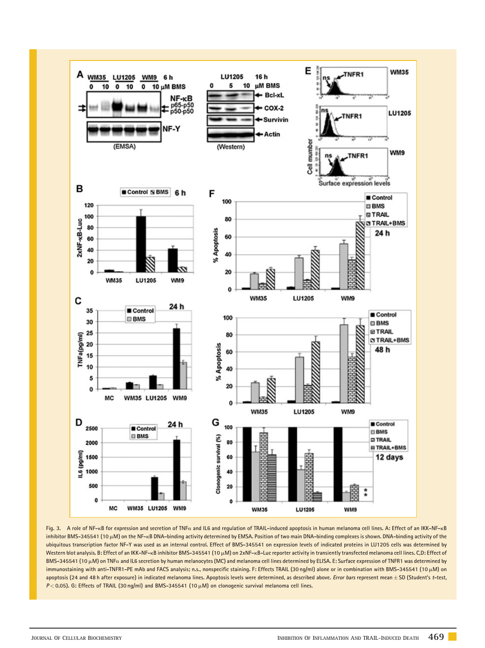

Fig. 3. A role of NF-kB for expression and secretion of TNF $\alpha$  and IL6 and regulation of TRAIL-induced apoptosis in human melanoma cell lines. A: Effect of an IKK-NF-kB inhibitor BMS-345541 (10  $\mu$ M) on the NF-kB DNA-binding activity determined by EMSA. Position of two main DNA-binding complexes is shown. DNA-binding activity of the ubiquitous transcription factor NF-Y was used as an internal control. Effect of BMS-345541 on expression levels of indicated proteins in LU1205 cells was determined by Western blot analysis. B: Effect of an IKK-NF-kB inhibitor BMS-345541 (10 µM) on 2xNF-kB-Luc reporter activity in transiently transfected melanoma cell lines. C,D: Effect of BMS-345541 (10 µM) on TNFa and IL6 secretion by human melanocytes (MC) and melanoma cell lines determined by ELISA. E: Surface expression of TNFR1 was determined by immunostaining with anti-TNFR1-PE mAb and FACS analysis; n.s., nonspecific staining. F: Effects TRAIL (30 ng/ml) alone or in combination with BMS-345541 (10 µM) on apoptosis (24 and 48 h after exposure) in indicated melanoma lines. Apoptosis levels were determined, as described above. Error bars represent mean ± SD (Student's t-test,  $P < 0.05$ ). G: Effects of TRAIL (30 ng/ml) and BMS-345541 (10  $\mu$ M) on clonogenic survival melanoma cell lines.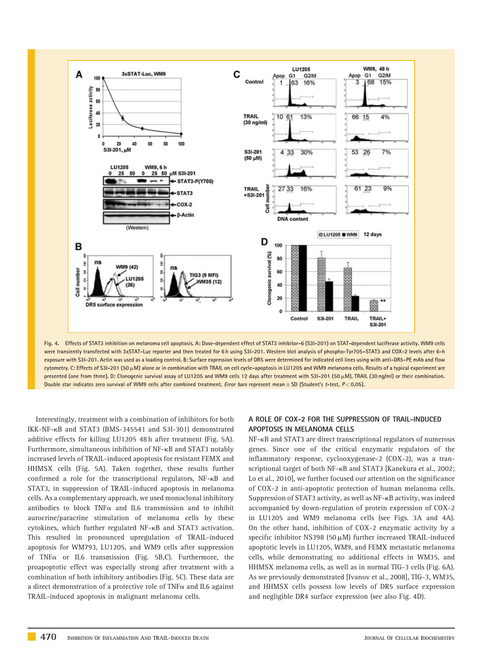

Fig. 4. Effects of STAT3 inhibition on melanoma cell apoptosis. A: Dose-dependent effect of STAT3 inhibitor-6 (S3I-201) on STAT-dependent luciferase activity. WM9 cells were transiently transfected with 3xSTAT-Luc reporter and then treated for 6 h using S3I-201. Western blot analysis of phospho-Tyr705–STAT3 and COX-2 levels after 6-h exposure with S3I-201. Actin was used as a loading control. B: Surface expression levels of DR5 were determined for indicated cell lines using with anti-DR5-PE mAb and flow cytometry. C: Effects of S3I-201 (50 µM) alone or in combination with TRAIL on cell cycle-apoptosis in LU1205 and WM9 melanoma cells. Results of a typical experiment are presented (one from three). D: Clonogenic survival assay of LU1205 and WM9 cells 12 days after treatment with S3I-201 (50  $\mu$ M), TRAIL (30 ng/ml) or their combination. Double star indicates zero survival of WM9 cells after combined treatment. Error bars represent mean  $\pm$  SD (Student's t-test,  $P < 0.05$ ).

Interestingly, treatment with a combination of inhibitors for both IKK-NF-kB and STAT3 (BMS-345541 and S3I-301) demonstrated additive effects for killing LU1205 48 h after treatment (Fig. 5A). Furthermore, simultaneous inhibition of NF-kB and STAT3 notably increased levels of TRAIL-induced apoptosis for resistant FEMX and HHMSX cells (Fig. 5A). Taken together, these results further confirmed a role for the transcriptional regulators, NF-kB and STAT3, in suppression of TRAIL-induced apoptosis in melanoma cells. As a complementary approach, we used monoclonal inhibitory antibodies to block  $TNF\alpha$  and IL6 transmission and to inhibit aurocrine/paracrine stimulation of melanoma cells by these cytokines, which further regulated NF-kB and STAT3 activation. This resulted in pronounced upregulation of TRAIL-induced apoptosis for WM793, LU1205, and WM9 cells after suppression of TNF $\alpha$  or IL6 transmission (Fig. 5B,C). Furthermore, the proapoptotic effect was especially strong after treatment with a combination of both inhibitory antibodies (Fig. 5C). These data are a direct demonstration of a protective role of TNF $\alpha$  and IL6 against TRAIL-induced apoptosis in malignant melanoma cells.

# A ROLE OF COX-2 FOR THE SUPPRESSION OF TRAIL-INDUCED APOPTOSIS IN MELANOMA CELLS

NF- $\kappa$ B and STAT3 are direct transcriptional regulators of numerous genes. Since one of the critical enzymatic regulators of the inflammatory response, cyclooxygenase-2 (COX-2), was a transcriptional target of both NF-<sub>KB</sub> and STAT3 [Kanekura et al., 2002; Lo et al., 2010], we further focused our attention on the significance of COX-2 in anti-apoptotic protection of human melanoma cells. Suppression of STAT3 activity, as well as NF-<sub>KB</sub> activity, was indeed accompanied by down-regulation of protein expression of COX-2 in LU1205 and WM9 melanoma cells (see Figs. 3A and 4A). On the other hand, inhibition of COX-2 enzymatic activity by a specific inhibitor NS398 (50 $\mu$ M) further increased TRAIL-induced apoptotic levels in LU1205, WM9, and FEMX metastatic melanoma cells, while demonstrating no additional effects in WM35, and HHMSX melanoma cells, as well as in normal TIG-3 cells (Fig. 6A). As we previously demonstrated [Ivanov et al., 2008], TIG-3, WM35, and HHMSX cells possess low levels of DR5 surface expression and negligible DR4 surface expression (see also Fig. 4D).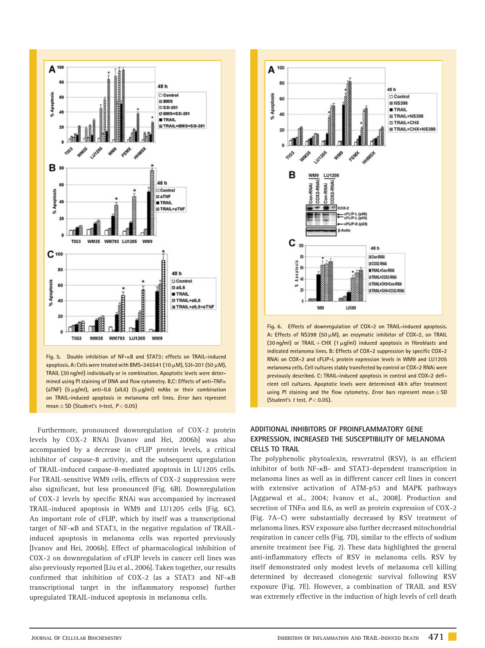

Fig. 5. Double inhibition of NF-kB and STAT3: effects on TRAIL-induced apoptosis. A: Cells were treated with BMS-345541 (10  $\mu$ M), S3I-201 (50  $\mu$ M), TRAIL (30 ng/ml) individually or in combination. Apoptotic levels were determined using PI staining of DNA and flow cytometry. B,C: Effects of anti-TNF $\alpha$ (aTNF) (5  $\mu$ g/ml), anti-IL6 (alL6) (5  $\mu$ g/ml) mAbs or their combination on TRAIL-induced apoptosis in melanoma cell lines. Error bars represent mean  $\pm$  SD (Student's t-test,  $P < 0.05$ )

Furthermore, pronounced downregulation of COX-2 protein levels by COX-2 RNAi [Ivanov and Hei, 2006b] was also accompanied by a decrease in cFLIP protein levels, a critical inhibitor of caspase-8 activity, and the subsequent upregulation of TRAIL-induced caspase-8-mediated apoptosis in LU1205 cells. For TRAIL-sensitive WM9 cells, effects of COX-2 suppression were also significant, but less pronounced (Fig. 6B). Downregulation of COX-2 levels by specific RNAi was accompanied by increased TRAIL-induced apoptosis in WM9 and LU1205 cells (Fig. 6C). An important role of cFLIP, which by itself was a transcriptional target of NF-kB and STAT3, in the negative regulation of TRAILinduced apoptosis in melanoma cells was reported previously [Ivanov and Hei, 2006b]. Effect of pharmacological inhibition of COX-2 on downregulation of cFLIP levels in cancer cell lines was also previously reported [Liu et al., 2006]. Taken together, our results confirmed that inhibition of COX-2 (as a STAT3 and NF-k<sup>B</sup> transcriptional target in the inflammatory response) further upregulated TRAIL-induced apoptosis in melanoma cells.



Fig. 6. Effects of downregulation of COX-2 on TRAIL-induced apoptosis. A: Effects of NS398 (50  $\mu$ M), an enzymatic inhibitor of COX-2, on TRAIL (30 ng/ml) or TRAIL + CHX (1  $\mu$ g/ml) induced apoptosis in fibroblasts and indicated melanoma lines. B: Effects of COX-2 suppression by specific COX-2 RNAi on COX-2 and cFLIP-L protein expression levels in WM9 and LU1205 melanoma cells. Cell cultures stably transfected by control or COX-2 RNAi were previously described. C: TRAIL-induced apoptosis in control and COX-2 deficient cell cultures. Apoptotic levels were determined 48 h after treatment using PI staining and the flow cytometry. Error bars represent mean  $\pm$  SD (Student's  $t$  test,  $P < 0.05$ ).

# ADDITIONAL INHIBITORS OF PROINFLAMMATORY GENE EXPRESSION, INCREASED THE SUSCEPTIBILITY OF MELANOMA CELLS TO TRAIL

The polyphenolic phytoalexin, resveratrol (RSV), is an efficient inhibitor of both NF-kB- and STAT3-dependent transcription in melanoma lines as well as in different cancer cell lines in concert with extensive activation of ATM-p53 and MAPK pathways [Aggarwal et al., 2004; Ivanov et al., 2008]. Production and secretion of TNF $\alpha$  and IL6, as well as protein expression of COX-2 (Fig. 7A–C) were substantially decreased by RSV treatment of melanoma lines. RSV exposure also further decreased mitochondrial respiration in cancer cells (Fig. 7D), similar to the effects of sodium arsenite treatment (see Fig. 2). These data highlighted the general anti-inflammatory effects of RSV in melanoma cells. RSV by itself demonstrated only modest levels of melanoma cell killing determined by decreased clonogenic survival following RSV exposure (Fig. 7E). However, a combination of TRAIL and RSV was extremely effective in the induction of high levels of cell death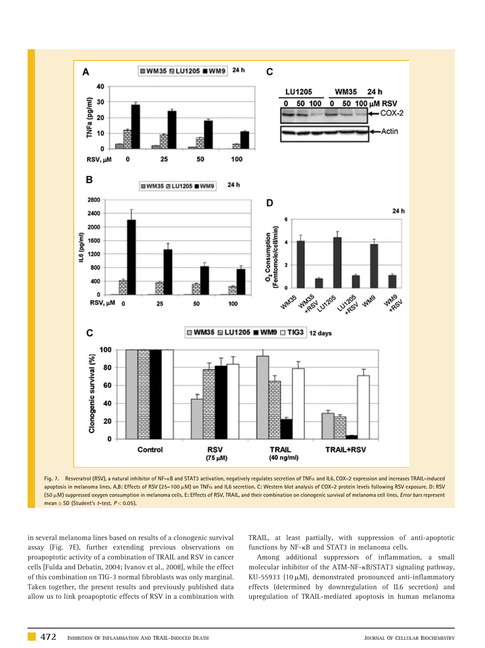



in several melanoma lines based on results of a clonogenic survival assay (Fig. 7E), further extending previous observations on proapoptotic activity of a combination of TRAIL and RSV in cancer cells [Fulda and Debatin, 2004; Ivanov et al., 2008], while the effect of this combination on TIG-3 normal fibroblasts was only marginal. Taken together, the present results and previously published data allow us to link proapoptotic effects of RSV in a combination with

TRAIL, at least partially, with suppression of anti-apoptotic functions by NF-kB and STAT3 in melanoma cells.

Among additional suppressors of inflammation, a small molecular inhibitor of the ATM-NF-kB/STAT3 signaling pathway, KU-55933 (10 $\mu$ M), demonstrated pronounced anti-inflammatory effects (determined by downregulation of IL6 secretion) and upregulation of TRAIL-mediated apoptosis in human melanoma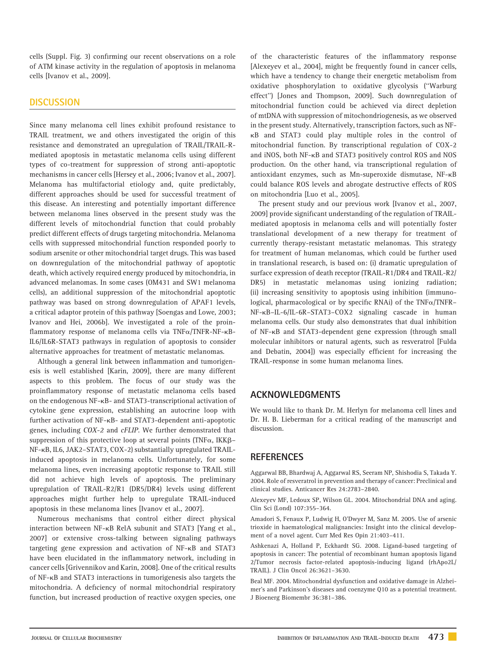cells (Suppl. Fig. 3) confirming our recent observations on a role of ATM kinase activity in the regulation of apoptosis in melanoma cells [Ivanov et al., 2009].

# **DISCUSSION**

Since many melanoma cell lines exhibit profound resistance to TRAIL treatment, we and others investigated the origin of this resistance and demonstrated an upregulation of TRAIL/TRAIL-Rmediated apoptosis in metastatic melanoma cells using different types of co-treatment for suppression of strong anti-apoptotic mechanisms in cancer cells [Hersey et al., 2006; Ivanov et al., 2007]. Melanoma has multifactorial etiology and, quite predictably, different approaches should be used for successful treatment of this disease. An interesting and potentially important difference between melanoma lines observed in the present study was the different levels of mitochondrial function that could probably predict different effects of drugs targeting mitochondria. Melanoma cells with suppressed mitochondrial function responded poorly to sodium arsenite or other mitochondrial target drugs. This was based on downregulation of the mitochondrial pathway of apoptotic death, which actively required energy produced by mitochondria, in advanced melanomas. In some cases (OM431 and SW1 melanoma cells), an additional suppression of the mitochondrial apoptotic pathway was based on strong downregulation of APAF1 levels, a critical adaptor protein of this pathway [Soengas and Lowe, 2003; Ivanov and Hei, 2006b]. We investigated a role of the proinflammatory response of melanoma cells via TNFa/TNFR-NF-kB-IL6/IL6R-STAT3 pathways in regulation of apoptosis to consider alternative approaches for treatment of metastatic melanomas.

Although a general link between inflammation and tumorigenesis is well established [Karin, 2009], there are many different aspects to this problem. The focus of our study was the proinflammatory response of metastatic melanoma cells based on the endogenous NF-kB- and STAT3-transcriptional activation of cytokine gene expression, establishing an autocrine loop with further activation of NF-kB- and STAT3-dependent anti-apoptotic genes, including COX-2 and cFLIP. We further demonstrated that suppression of this protective loop at several points (TNF $\alpha$ , IKK $\beta$ – NF-kB, IL6, JAK2–STAT3, COX-2) substantially upregulated TRAILinduced apoptosis in melanoma cells. Unfortunately, for some melanoma lines, even increasing apoptotic response to TRAIL still did not achieve high levels of apoptosis. The preliminary upregulation of TRAIL-R2/R1 (DR5/DR4) levels using different approaches might further help to upregulate TRAIL-induced apoptosis in these melanoma lines [Ivanov et al., 2007].

Numerous mechanisms that control either direct physical interaction between NF-kB RelA subunit and STAT3 [Yang et al., 2007] or extensive cross-talking between signaling pathways targeting gene expression and activation of NF-kB and STAT3 have been elucidated in the inflammatory network, including in cancer cells [Grivennikov and Karin, 2008]. One of the critical results of NF-kB and STAT3 interactions in tumorigenesis also targets the mitochondria. A deficiency of normal mitochondrial respiratory function, but increased production of reactive oxygen species, one of the characteristic features of the inflammatory response [Alexeyev et al., 2004], might be frequently found in cancer cells, which have a tendency to change their energetic metabolism from oxidative phosphorylation to oxidative glycolysis (''Warburg effect'') [Jones and Thompson, 2009]. Such downregulation of mitochondrial function could be achieved via direct depletion of mtDNA with suppression of mitochondriogenesis, as we observed in the present study. Alternatively, transcription factors, such as NFkB and STAT3 could play multiple roles in the control of mitochondrial function. By transcriptional regulation of COX-2 and iNOS, both NF-kB and STAT3 positively control ROS and NOS production. On the other hand, via transcriptional regulation of antioxidant enzymes, such as Mn-superoxide dismutase, NF-k<sup>B</sup> could balance ROS levels and abrogate destructive effects of ROS on mitochondria [Luo et al., 2005].

The present study and our previous work [Ivanov et al., 2007, 2009] provide significant understanding of the regulation of TRAILmediated apoptosis in melanoma cells and will potentially foster translational development of a new therapy for treatment of currently therapy-resistant metastatic melanomas. This strategy for treatment of human melanomas, which could be further used in translational research, is based on: (i) dramatic upregulation of surface expression of death receptor (TRAIL-R1/DR4 and TRAIL-R2/ DR5) in metastatic melanomas using ionizing radiation; (ii) increasing sensitivity to apoptosis using inhibition (immunological, pharmacological or by specific RNAi) of the  $TNFA$ -NF-kB–IL-6/IL-6R–STAT3–COX2 signaling cascade in human melanoma cells. Our study also demonstrates that dual inhibition of NF-kB and STAT3-dependent gene expression (through small molecular inhibitors or natural agents, such as resveratrol [Fulda and Debatin, 2004]) was especially efficient for increasing the TRAIL-response in some human melanoma lines.

# ACKNOWLEDGMENTS

We would like to thank Dr. M. Herlyn for melanoma cell lines and Dr. H. B. Lieberman for a critical reading of the manuscript and discussion.

# **REFERENCES**

Aggarwal BB, Bhardwaj A, Aggarwal RS, Seeram NP, Shishodia S, Takada Y. 2004. Role of resveratrol in prevention and therapy of cancer: Preclinical and clinical studies. Anticancer Res 24:2783–2840.

Alexeyev MF, Ledoux SP, Wilson GL. 2004. Mitochondrial DNA and aging. Clin Sci (Lond) 107:355–364.

Amadori S, Fenaux P, Ludwig H, O'Dwyer M, Sanz M. 2005. Use of arsenic trioxide in haematological malignancies: Insight into the clinical development of a novel agent. Curr Med Res Opin 21:403–411.

Ashkenazi A, Holland P, Eckhardt SG. 2008. Ligand-based targeting of apoptosis in cancer: The potential of recombinant human apoptosis ligand 2/Tumor necrosis factor-related apoptosis-inducing ligand (rhApo2L/ TRAIL). J Clin Oncol 26:3621–3630.

Beal MF. 2004. Mitochondrial dysfunction and oxidative damage in Alzheimer's and Parkinson's diseases and coenzyme Q10 as a potential treatment. J Bioenerg Biomembr 36:381–386.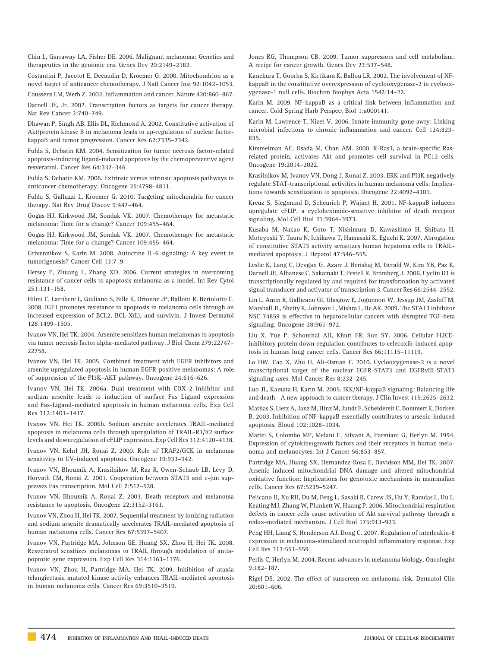Chin L, Garraway LA, Fisher DE. 2006. Malignant melanoma: Genetics and therapeutics in the genomic era. Genes Dev 20:2149–2182.

Costantini P, Jacotot E, Decaudin D, Kroemer G. 2000. Mitochondrion as a novel target of anticancer chemotherapy. J Natl Cancer Inst 92:1042–1053.

Coussens LM, Werb Z. 2002. Inflammation and cancer. Nature 420:860–867.

Darnell JE, Jr. 2002. Transcription factors as targets for cancer therapy. Nat Rev Cancer 2:740–749.

Dhawan P, Singh AB, Ellis DL, Richmond A. 2002. Constitutive activation of Akt/protein kinase B in melanoma leads to up-regulation of nuclear factorkappaB and tumor progression. Cancer Res 62:7335–7342.

Fulda S, Debatin KM. 2004. Sensitization for tumor necrosis factor-related apoptosis-inducing ligand-induced apoptosis by the chemopreventive agent resveratrol. Cancer Res 64:337–346.

Fulda S, Debatin KM. 2006. Extrinsic versus intrinsic apoptosis pathways in anticancer chemotherapy. Oncogene 25:4798–4811.

Fulda S, Galluzzi L, Kroemer G. 2010. Targeting mitochondria for cancer therapy. Nat Rev Drug Discov 9:447–464.

Gogas HJ, Kirkwood JM, Sondak VK. 2007. Chemotherapy for metastatic melanoma: Time for a change? Cancer 109:455–464.

Gogas HJ, Kirkwood JM, Sondak VK. 2007. Chemotherapy for metastatic melanoma: Time for a change? Cancer 109:455–464.

Grivennikov S, Karin M. 2008. Autocrine IL-6 signaling: A key event in tumorigenesis? Cancer Cell 13:7–9.

Hersey P, Zhuang L, Zhang XD. 2006. Current strategies in overcoming resistance of cancer cells to apoptosis melanoma as a model. Int Rev Cytol 251:131–158.

Hilmi C, Larribere L, Giuliano S, Bille K, Ortonne JP, Ballotti R, Bertolotto C. 2008. IGF1 promotes resistance to apoptosis in melanoma cells through an increased expression of BCL2, BCL-X(L), and survivin. J Invest Dermatol 128:1499–1505.

Ivanov VN, Hei TK. 2004. Arsenite sensitizes human melanomas to apoptosis via tumor necrosis factor alpha-mediated pathway. J Biol Chem 279:22747– 22758.

Ivanov VN, Hei TK. 2005. Combined treatment with EGFR inhibitors and arsenite upregulated apoptosis in human EGFR-positive melanomas: A role of suppression of the PI3K–AKT pathway. Oncogene 24:616–626.

Ivanov VN, Hei TK. 2006a. Dual treatment with COX-2 inhibitor and sodium arsenite leads to induction of surface Fas Ligand expression and Fas-Ligand-mediated apoptosis in human melanoma cells. Exp Cell Res 312:1401–1417.

Ivanov VN, Hei TK. 2006b. Sodium arsenite accelerates TRAIL-mediated apoptosis in melanoma cells through upregulation of TRAIL-R1/R2 surface levels and downregulation of cFLIP expression. Exp Cell Res 312:4120–4138.

Ivanov VN, Kehrl JH, Ronai Z. 2000. Role of TRAF2/GCK in melanoma sensitivity to UV-induced apoptosis. Oncogene 19:933–942.

Ivanov VN, Bhoumik A, Krasilnikov M, Raz R, Owen-Schaub LB, Levy D, Horvath CM, Ronai Z. 2001. Cooperation between STAT3 and c-jun suppresses Fas transcription. Mol Cell 7:517–528.

Ivanov VN, Bhoumik A, Ronai Z. 2003. Death receptors and melanoma resistance to apoptosis. Oncogene 22:3152–3161.

Ivanov VN, Zhou H, Hei TK. 2007. Sequential treatment by ionizing radiation and sodium arsenite dramatically accelerates TRAIL-mediated apoptosis of human melanoma cells. Cancer Res 67:5397–5407.

Ivanov VN, Partridge MA, Johnson GE, Huang SX, Zhou H, Hei TK. 2008. Resveratrol sensitizes melanomas to TRAIL through modulation of antiapoptotic gene expression. Exp Cell Res 314:1163–1176.

Ivanov VN, Zhou H, Partridge MA, Hei TK. 2009. Inhibition of ataxia telangiectasia mutated kinase activity enhances TRAIL-mediated apoptosis in human melanoma cells. Cancer Res 69:3510–3519.

Jones RG, Thompson CB. 2009. Tumor suppressors and cell metabolism: A recipe for cancer growth. Genes Dev 23:537–548.

Kanekura T, Goorha S, Kirtikara K, Ballou LR. 2002. The involvement of NFkappaB in the constitutive overexpression of cyclooxygenase-2 in cyclooxygenase-1 null cells. Biochim Biophys Acta 1542:14–22.

Karin M. 2009. NF-kappaB as a critical link between inflammation and cancer. Cold Spring Harb Perspect Biol 1:a000141.

Karin M, Lawrence T, Nizet V. 2006. Innate immunity gone awry: Linking microbial infections to chronic inflammation and cancer. Cell 124:823– 835.

Kimmelman AC, Osada M, Chan AM. 2000. R-Ras3, a brain-specific Rasrelated protein, activates Akt and promotes cell survival in PC12 cells. Oncogene 19:2014–2022.

Krasilnikov M, Ivanov VN, Dong J, Ronai Z. 2003. ERK and PI3K negatively regulate STAT-transcriptional activities in human melanoma cells: Implications towards sensitization to apoptosis. Oncogene 22:4092–4101.

Kreuz S, Siegmund D, Scheurich P, Wajant H. 2001. NF-kappaB inducers upregulate cFLIP, a cycloheximide-sensitive inhibitor of death receptor signaling. Mol Cell Biol 21:3964–3973.

Kusaba M, Nakao K, Goto T, Nishimura D, Kawashimo H, Shibata H, Motoyoshi Y, Taura N, Ichikawa T, Hamasaki K, Eguchi K. 2007. Abrogation of constitutive STAT3 activity sensitizes human hepatoma cells to TRAILmediated apoptosis. J Hepatol 47:546–555.

Leslie K, Lang C, Devgan G, Azare J, Berishaj M, Gerald W, Kim YB, Paz K, Darnell JE, Albanese C, Sakamaki T, Pestell R, Bromberg J. 2006. Cyclin D1 is transcriptionally regulated by and required for transformation by activated signal transducer and activator of transcription 3. Cancer Res 66:2544–2552.

Lin L, Amin R, Gallicano GI, Glasgow E, Jogunoori W, Jessup JM, Zasloff M, Marshall JL, Shetty K, Johnson L, Mishra L, He AR. 2009. The STAT3 inhibitor NSC 74859 is effective in hepatocellular cancers with disrupted TGF-beta signaling. Oncogene 28:961–972.

Liu X, Yue P, Schonthal AH, Khuri FR, Sun SY. 2006. Cellular FLICEinhibitory protein down-regulation contributes to celecoxib-induced apoptosis in human lung cancer cells. Cancer Res 66:11115–11119.

Lo HW, Cao X, Zhu H, Ali-Osman F. 2010. Cyclooxygenase-2 is a novel transcriptional target of the nuclear EGFR-STAT3 and EGFRvIII-STAT3 signaling axes. Mol Cancer Res 8:232–245.

Luo JL, Kamata H, Karin M. 2005. IKK/NF-kappaB signaling: Balancing life and death—A new approach to cancer therapy. J Clin Invest 115:2625–2632.

Mathas S, Lietz A, Janz M, Hinz M, Jundt F, Scheidereit C, Bommert K, Dorken B. 2003. Inhibition of NF-kappaB essentially contributes to arsenic-induced apoptosis. Blood 102:1028–1034.

Mattei S, Colombo MP, Melani C, Silvani A, Parmiani G, Herlyn M. 1994. Expression of cytokine/growth factors and their receptors in human melanoma and melanocytes. Int J Cancer 56:853–857.

Partridge MA, Huang SX, Hernandez-Rosa E, Davidson MM, Hei TK. 2007. Arsenic induced mitochondrial DNA damage and altered mitochondrial oxidative function: Implications for genotoxic mechanisms in mammalian cells. Cancer Res 67:5239–5247.

Pelicano H, Xu RH, Du M, Feng L, Sasaki R, Carew JS, Hu Y, Ramdas L, Hu L, Keating MJ, Zhang W, Plunkett W, Huang P. 2006. Mitochondrial respiration defects in cancer cells cause activation of Akt survival pathway through a redox-mediated mechanism. J Cell Biol 175:913–923.

Peng HH, Liang S, Henderson AJ, Dong C. 2007. Regulation of interleukin-8 expression in melanoma-stimulated neutrophil inflammatory response. Exp Cell Res 313:551–559.

Perlis C, Herlyn M. 2004. Recent advances in melanoma biology. Oncologist 9:182–187.

Rigel DS. 2002. The effect of sunscreen on melanoma risk. Dermatol Clin 20:601–606.